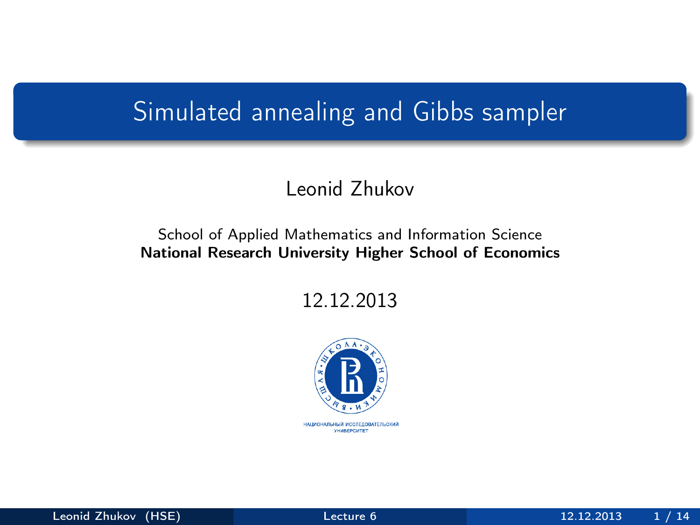### <span id="page-0-0"></span>Simulated annealing and Gibbs sampler

#### Leonid Zhukov

#### School of Applied Mathematics and Information Science National Research University Higher School of Economics

12.12.2013

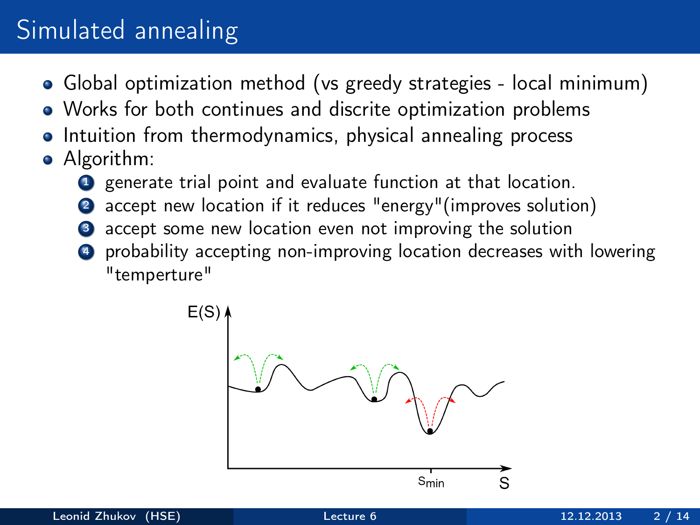## Simulated annealing

- Global optimization method (vs greedy strategies local minimum)
- Works for both continues and discrite optimization problems
- Intuition from thermodynamics, physical annealing process
- Algorithm:
	- **1** generate trial point and evaluate function at that location.
	- accept new location if it reduces "energy"(improves solution)
	- accept some new location even not improving the solution
	- <sup>4</sup> probability accepting non-improving location decreases with lowering "temperture"

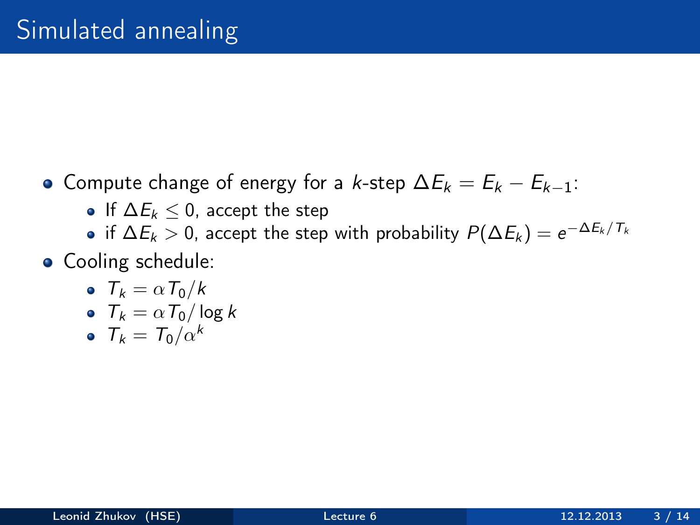- Compute change of energy for a k-step  $\Delta E_k = E_k E_{k-1}$ :
	- If  $\Delta E_k$  < 0, accept the step
	- if  $\Delta E_k>0$ , accept the step with probability  $P(\Delta E_k)=e^{-\Delta E_k/T_k}$
- Cooling schedule:
	- $T_k = \alpha T_0/k$
	- $T_k = \alpha T_0 / \log k$
	- $T_k = T_0/\alpha^k$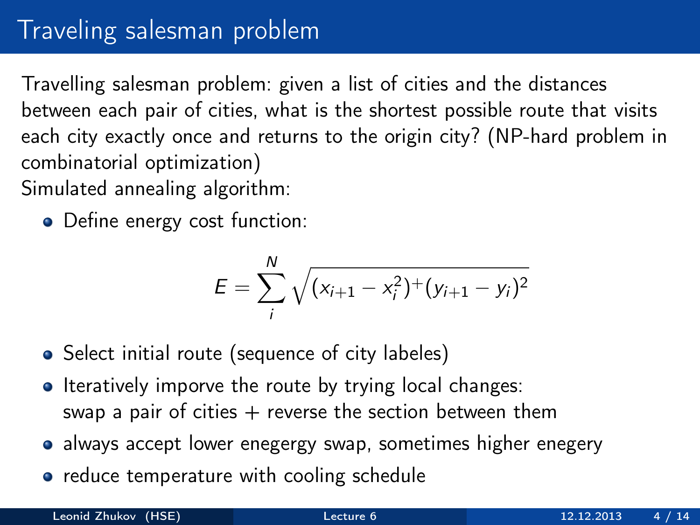# Traveling salesman problem

Travelling salesman problem: given a list of cities and the distances between each pair of cities, what is the shortest possible route that visits each city exactly once and returns to the origin city? (NP-hard problem in combinatorial optimization) Simulated annealing algorithm:

• Define energy cost function:

$$
E = \sum_{i}^{N} \sqrt{(x_{i+1} - x_i^2)^{+} (y_{i+1} - y_i)^2}
$$

- Select initial route (sequence of city labeles)
- Iteratively imporve the route by trying local changes: swap a pair of cities  $+$  reverse the section between them
- always accept lower enegergy swap, sometimes higher enegery
- reduce temperature with cooling schedule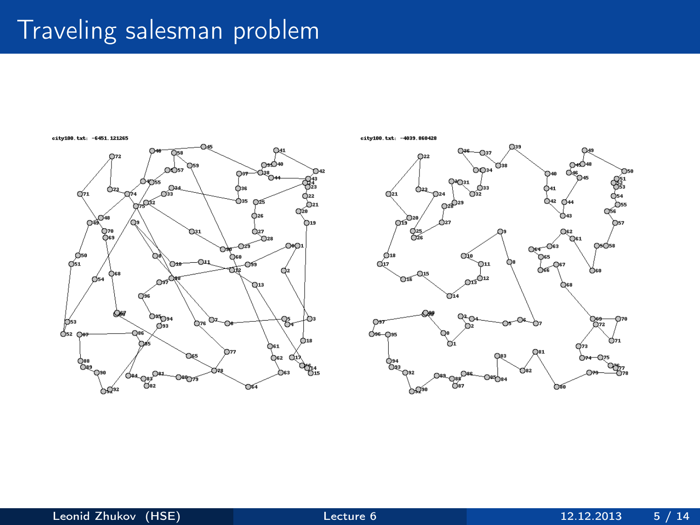### Traveling salesman problem



eity100.txt: -4039.860428

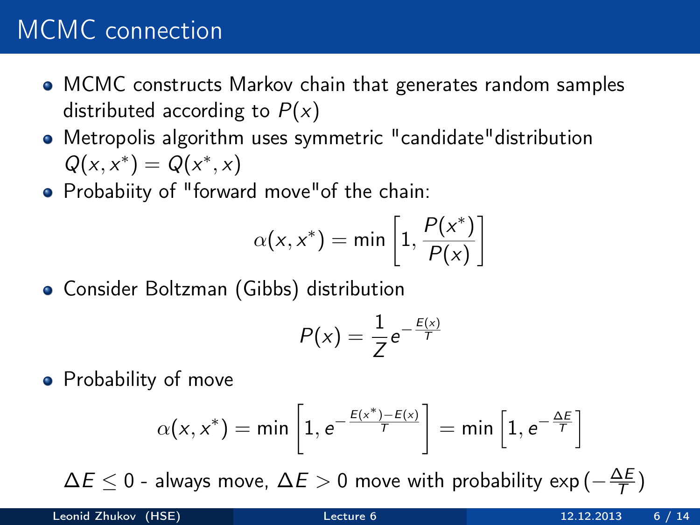### MCMC connection

- MCMC constructs Markov chain that generates random samples distributed according to  $P(x)$
- Metropolis algorithm uses symmetric "candidate"distribution  $Q(x, x^*) = Q(x^*, x)$
- Probabiity of "forward move"of the chain:

$$
\alpha(x, x^*) = \min\left[1, \frac{P(x^*)}{P(x)}\right]
$$

Consider Boltzman (Gibbs) distribution

$$
P(x)=\frac{1}{Z}e^{-\frac{E(x)}{T}}
$$

• Probability of move

$$
\alpha(x, x^*) = \min\left[1, e^{-\frac{E(x^*) - E(x)}{T}}\right] = \min\left[1, e^{-\frac{\Delta E}{T}}\right]
$$

 $\Delta E \leq 0$  - always move,  $\Delta E > 0$  move with probability exp( $-\frac{\Delta E}{T}$  $\frac{\Delta E}{T})$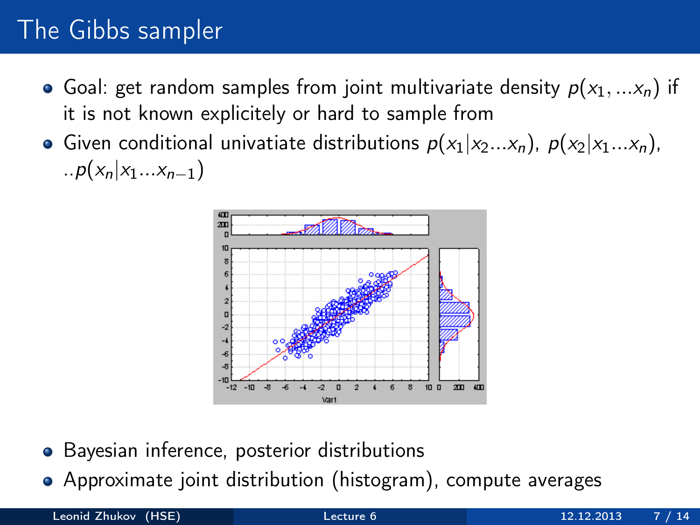# The Gibbs sampler

- Goal: get random samples from joint multivariate density  $p(x_1, \ldots x_n)$  if it is not known explicitely or hard to sample from
- Given conditional univatiate distributions  $p(x_1|x_2...x_n)$ ,  $p(x_2|x_1...x_n)$ , ..p( $x_n|x_1...x_{n-1}$ )



- Bayesian inference, posterior distributions
- Approximate joint distribution (histogram), compute averages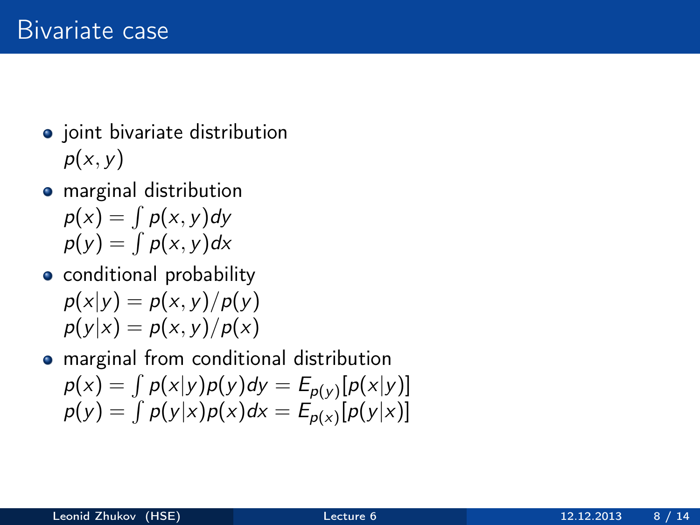- joint bivariate distribution  $p(x, y)$
- **•** marginal distribution  $p(x) = \int p(x, y) dy$  $p(y) = \int p(x, y) dx$
- **•** conditional probability  $p(x|y) = p(x, y)/p(y)$  $p(y|x) = p(x, y)/p(x)$

marginal from conditional distribution  $p(x) = \int p(x|y)p(y)dy = E_{p(y)}[p(x|y)]$  $p(y) = \int p(y|x)p(x)dx = E_{p(x)}[p(y|x)]$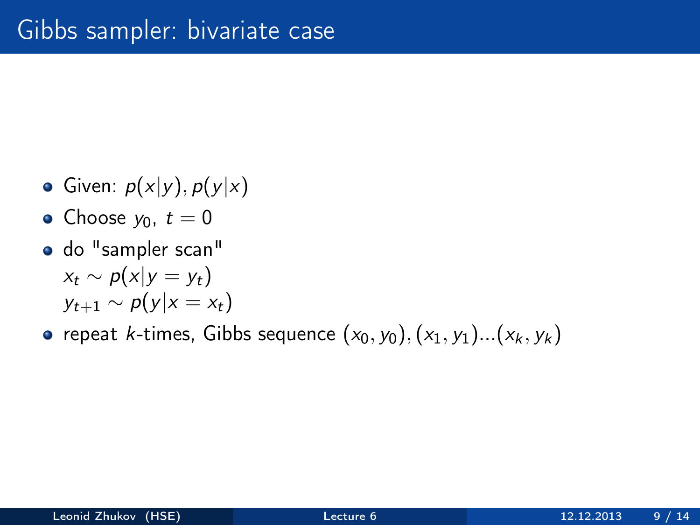- Given:  $p(x|y)$ ,  $p(y|x)$
- Choose  $y_0, t = 0$
- do "sampler scan"  $x_t \sim p(x|y = y_t)$  $y_{t+1} \sim p(y|x = x_t)$
- repeat k-times, Gibbs sequence  $(x_0, y_0), (x_1, y_1)...(x_k, y_k)$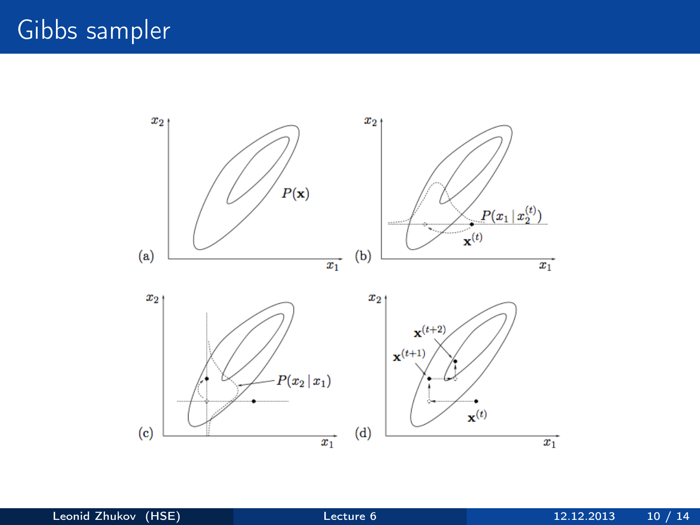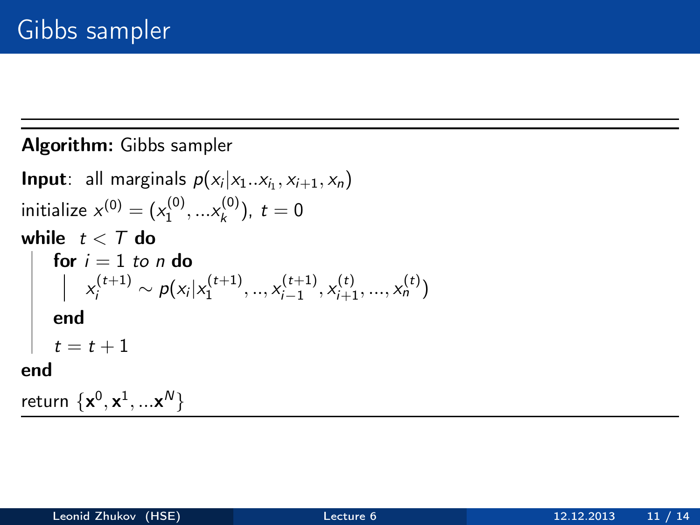#### Algorithm: Gibbs sampler

**Input**: all marginals  $p(x_i|x_1..x_{i_1},x_{i+1},x_n)$ initialize  $x^{(0)} = (x_1^{(0)}, ... x_k^{(0)})$  $(t_k^{(0)})$ ,  $t=0$ while  $t < T$  do for  $i = 1$  to n do  $x_i^{(t+1)} \sim \rho(x_i | x_1^{(t+1)},..,x_{i-1}^{(t+1)})$  $x_{i-1}^{(t+1)}, x_{i+1}^{(t)}, ..., x_n^{(t)}$ end  $t = t + 1$ end return  $\{ \mathbf{x}^0, \mathbf{x}^1, ... \mathbf{x}^N \}$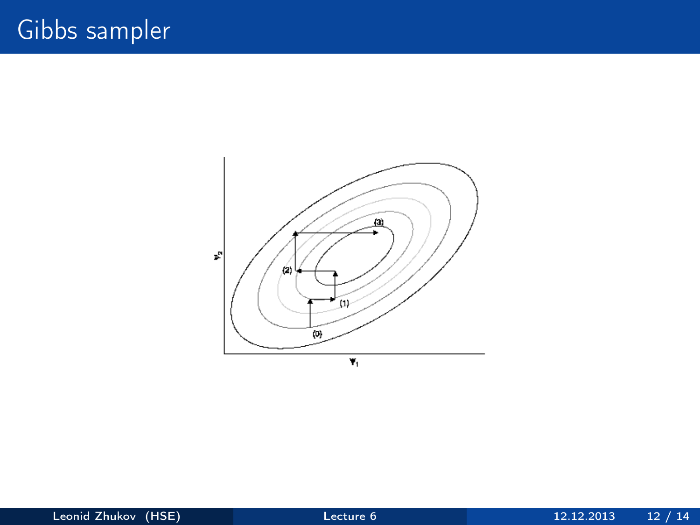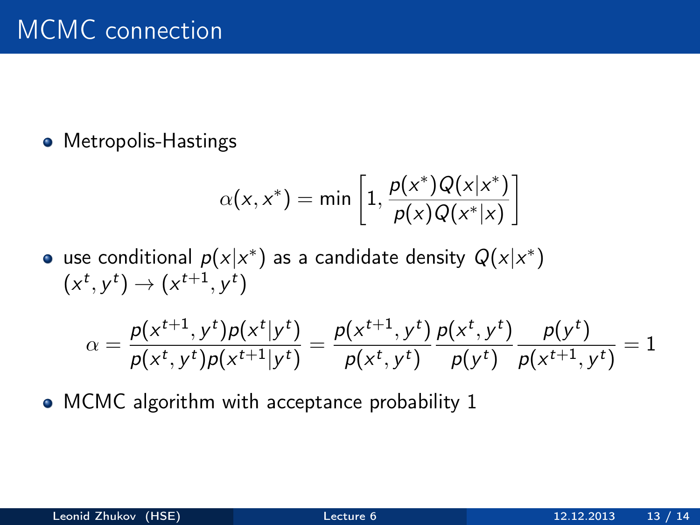• Metropolis-Hastings

$$
\alpha(x, x^*) = \min\left[1, \frac{p(x^*)Q(x|x^*)}{p(x)Q(x^*|x)}\right]
$$

use conditional  $p(\mathrm{x}|\mathrm{x}^*)$  as a candidate density  $Q(\mathrm{x}|\mathrm{x}^*)$  $(x^t, y^t) \rightarrow (x^{t+1}, y^t)$ 

$$
\alpha = \frac{p(x^{t+1}, y^t)p(x^t|y^t)}{p(x^t, y^t)p(x^{t+1}|y^t)} = \frac{p(x^{t+1}, y^t)}{p(x^t, y^t)} \frac{p(x^t, y^t)}{p(y^t)} \frac{p(y^t)}{p(x^{t+1}, y^t)} = 1
$$

• MCMC algorithm with acceptance probability 1